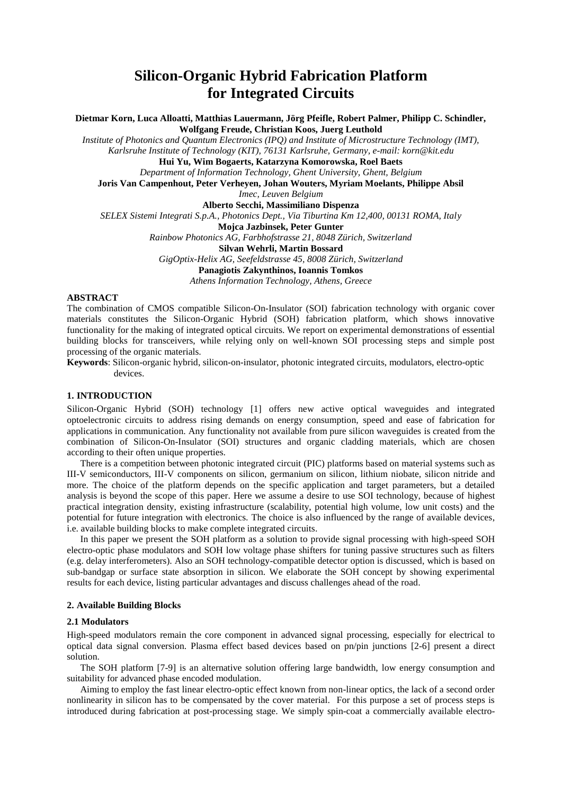# **Silicon-Organic Hybrid Fabrication Platform for Integrated Circuits**

**Dietmar Korn, Luca Alloatti, Matthias Lauermann, Jörg Pfeifle, Robert Palmer, Philipp C. Schindler, Wolfgang Freude, Christian Koos, Juerg Leuthold**

*Institute of Photonics and Quantum Electronics (IPQ) and Institute of Microstructure Technology (IMT), Karlsruhe Institute of Technology (KIT), 76131 Karlsruhe, Germany, e-mail: korn@kit.edu*

**Hui Yu, Wim Bogaerts, Katarzyna Komorowska, Roel Baets**

*Department of Information Technology, Ghent University, Ghent, Belgium*

**Joris Van Campenhout, Peter Verheyen, Johan Wouters, Myriam Moelants, Philippe Absil**

*Imec, Leuven Belgium*

**Alberto Secchi, Massimiliano Dispenza**

*SELEX Sistemi Integrati S.p.A., Photonics Dept., Via Tiburtina Km 12,400, 00131 ROMA, Italy*

**Mojca Jazbinsek, Peter Gunter**

*Rainbow Photonics AG, Farbhofstrasse 21, 8048 Zürich, Switzerland*

**Silvan Wehrli, Martin Bossard**

*GigOptix-Helix AG, Seefeldstrasse 45, 8008 Zürich, Switzerland*

**Panagiotis Zakynthinos, Ioannis Tomkos**

*Athens Information Technology, Athens, Greece*

## **ABSTRACT**

The combination of CMOS compatible Silicon-On-Insulator (SOI) fabrication technology with organic cover materials constitutes the Silicon-Organic Hybrid (SOH) fabrication platform, which shows innovative functionality for the making of integrated optical circuits. We report on experimental demonstrations of essential building blocks for transceivers, while relying only on well-known SOI processing steps and simple post processing of the organic materials.

**Keywords**: Silicon-organic hybrid, silicon-on-insulator, photonic integrated circuits, modulators, electro-optic devices.

# **1. INTRODUCTION**

Silicon-Organic Hybrid (SOH) technology [\[1\]](#page-3-0) offers new active optical waveguides and integrated optoelectronic circuits to address rising demands on energy consumption, speed and ease of fabrication for applications in communication. Any functionality not available from pure silicon waveguides is created from the combination of Silicon-On-Insulator (SOI) structures and organic cladding materials, which are chosen according to their often unique properties.

There is a competition between photonic integrated circuit (PIC) platforms based on material systems such as III-V semiconductors, III-V components on silicon, germanium on silicon, lithium niobate, silicon nitride and more. The choice of the platform depends on the specific application and target parameters, but a detailed analysis is beyond the scope of this paper. Here we assume a desire to use SOI technology, because of highest practical integration density, existing infrastructure (scalability, potential high volume, low unit costs) and the potential for future integration with electronics. The choice is also influenced by the range of available devices, i.e. available building blocks to make complete integrated circuits.

In this paper we present the SOH platform as a solution to provide signal processing with high-speed SOH electro-optic phase modulators and SOH low voltage phase shifters for tuning passive structures such as filters (e.g. delay interferometers). Also an SOH technology-compatible detector option is discussed, which is based on sub-bandgap or surface state absorption in silicon. We elaborate the SOH concept by showing experimental results for each device, listing particular advantages and discuss challenges ahead of the road.

## **2. Available Building Blocks**

#### **2.1 Modulators**

High-speed modulators remain the core component in advanced signal processing, especially for electrical to optical data signal conversion. Plasma effect based devices based on pn/pin junctions [\[2-6\]](#page-3-1) present a direct solution.

The SOH platform [\[7-9\]](#page-3-2) is an alternative solution offering large bandwidth, low energy consumption and suitability for advanced phase encoded modulation.

Aiming to employ the fast linear electro-optic effect known from non-linear optics, the lack of a second order nonlinearity in silicon has to be compensated by the cover material. For this purpose a set of process steps is introduced during fabrication at post-processing stage. We simply spin-coat a commercially available electro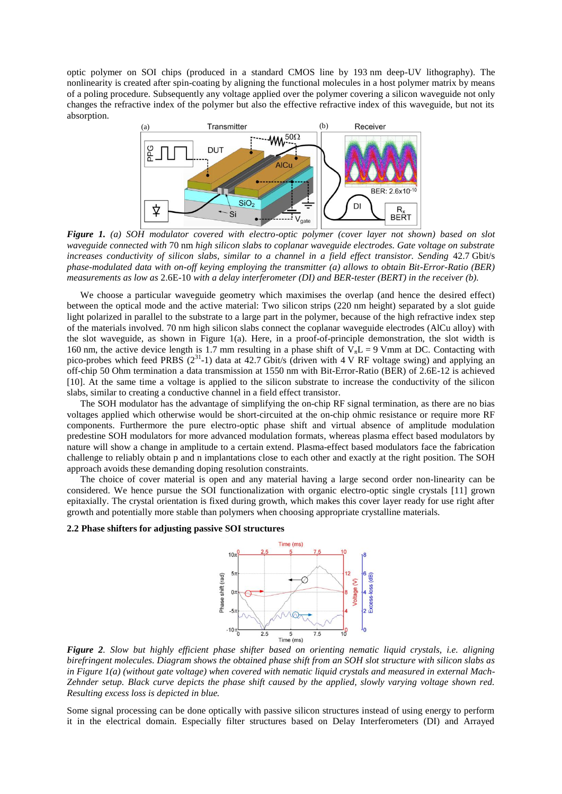optic polymer on SOI chips (produced in a standard CMOS line by 193 nm deep-UV lithography). The nonlinearity is created after spin-coating by aligning the functional molecules in a host polymer matrix by means of a poling procedure. Subsequently any voltage applied over the polymer covering a silicon waveguide not only changes the refractive index of the polymer but also the effective refractive index of this waveguide, but not its absorption.



<span id="page-1-0"></span>*Figure 1. (a) SOH modulator covered with electro-optic polymer (cover layer not shown) based on slot waveguide connected with* 70 nm *high silicon slabs to coplanar waveguide electrodes. Gate voltage on substrate increases conductivity of silicon slabs, similar to a channel in a field effect transistor. Sending* 42.7 Gbit/s *phase-modulated data with on-off keying employing the transmitter (a) allows to obtain Bit-Error-Ratio (BER) measurements as low as* 2.6E-10 *with a delay interferometer (DI) and BER-tester (BERT) in the receiver (b).*

We choose a particular waveguide geometry which maximises the overlap (and hence the desired effect) between the optical mode and the active material: Two silicon strips (220 nm height) separated by a slot guide light polarized in parallel to the substrate to a large part in the polymer, because of the high refractive index step of the materials involved. 70 nm high silicon slabs connect the coplanar waveguide electrodes (AlCu alloy) with the slot waveguide, as shown in [Figure 1\(](#page-1-0)a). Here, in a proof-of-principle demonstration, the slot width is 160 nm, the active device length is 1.7 mm resulting in a phase shift of  $V<sub>\pi</sub>L = 9$  Vmm at DC. Contacting with pico-probes which feed PRBS  $(2^{31}$ -1) data at 42.7 Gbit/s (driven with 4 V RF voltage swing) and applying an off-chip 50 Ohm termination a data transmission at 1550 nm with Bit-Error-Ratio (BER) of 2.6E-12 is achieved [\[10\]](#page-3-3). At the same time a voltage is applied to the silicon substrate to increase the conductivity of the silicon slabs, similar to creating a conductive channel in a field effect transistor.

The SOH modulator has the advantage of simplifying the on-chip RF signal termination, as there are no bias voltages applied which otherwise would be short-circuited at the on-chip ohmic resistance or require more RF components. Furthermore the pure electro-optic phase shift and virtual absence of amplitude modulation predestine SOH modulators for more advanced modulation formats, whereas plasma effect based modulators by nature will show a change in amplitude to a certain extend. Plasma-effect based modulators face the fabrication challenge to reliably obtain p and n implantations close to each other and exactly at the right position. The SOH approach avoids these demanding doping resolution constraints.

The choice of cover material is open and any material having a large second order non-linearity can be considered. We hence pursue the SOI functionalization with organic electro-optic single crystals [\[11\]](#page-3-4) grown epitaxially. The crystal orientation is fixed during growth, which makes this cover layer ready for use right after growth and potentially more stable than polymers when choosing appropriate crystalline materials.

#### **2.2 Phase shifters for adjusting passive SOI structures**



<span id="page-1-1"></span>*Figure 2. Slow but highly efficient phase shifter based on orienting nematic liquid crystals, i.e. aligning birefringent molecules. Diagram shows the obtained phase shift from an SOH slot structure with silicon slabs as in [Figure 1\(](#page-1-0)a) (without gate voltage) when covered with nematic liquid crystals and measured in external Mach-Zehnder setup. Black curve depicts the phase shift caused by the applied, slowly varying voltage shown red. Resulting excess loss is depicted in blue.*

Some signal processing can be done optically with passive silicon structures instead of using energy to perform it in the electrical domain. Especially filter structures based on Delay Interferometers (DI) and Arrayed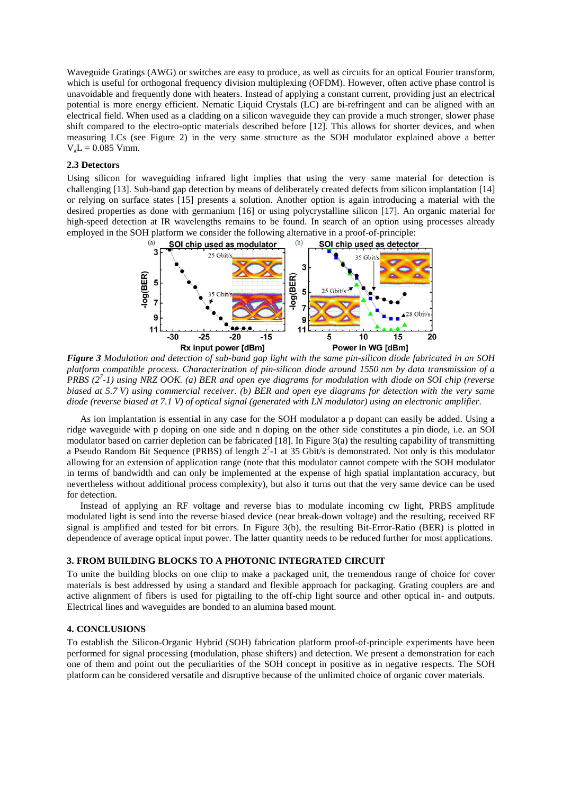Waveguide Gratings (AWG) or switches are easy to produce, as well as circuits for an optical Fourier transform, which is useful for orthogonal frequency division multiplexing (OFDM). However, often active phase control is unavoidable and frequently done with heaters. Instead of applying a constant current, providing just an electrical potential is more energy efficient. Nematic Liquid Crystals (LC) are bi-refringent and can be aligned with an electrical field. When used as a cladding on a silicon waveguide they can provide a much stronger, slower phase shift compared to the electro-optic materials described before [\[12\]](#page-3-5). This allows for shorter devices, and when measuring LCs (see [Figure 2\)](#page-1-1) in the very same structure as the SOH modulator explained above a better  $V_{\pi}L = 0.085$  Vmm.

## **2.3 Detectors**

Using silicon for waveguiding infrared light implies that using the very same material for detection is challenging [\[13\]](#page-3-6). Sub-band gap detection by means of deliberately created defects from silicon implantation [\[14\]](#page-3-7) or relying on surface states [\[15\]](#page-3-8) presents a solution. Another option is again introducing a material with the desired properties as done with germanium [\[16\]](#page-3-9) or using polycrystalline silicon [\[17\]](#page-3-10). An organic material for high-speed detection at IR wavelengths remains to be found. In search of an option using processes already employed in the SOH platform we consider the following alternative in a proof-of-principle:



<span id="page-2-0"></span>*Figure 3 Modulation and detection of sub-band gap light with the same pin-silicon diode fabricated in an SOH platform compatible process. Characterization of pin-silicon diode around 1550 nm by data transmission of a PRBS (2<sup>7</sup> -1) using NRZ OOK. (a) BER and open eye diagrams for modulation with diode on SOI chip (reverse biased at 5.7 V) using commercial receiver. (b) BER and open eye diagrams for detection with the very same diode (reverse biased at 7.1 V) of optical signal (generated with LN modulator) using an electronic amplifier.*

As ion implantation is essential in any case for the SOH modulator a p dopant can easily be added. Using a ridge waveguide with p doping on one side and n doping on the other side constitutes a pin diode, i.e. an SOI modulator based on carrier depletion can be fabricated [\[18\]](#page-3-11). In [Figure 3\(](#page-2-0)a) the resulting capability of transmitting a Pseudo Random Bit Sequence (PRBS) of length  $2<sup>7</sup>$ -1 at 35 Gbit/s is demonstrated. Not only is this modulator allowing for an extension of application range (note that this modulator cannot compete with the SOH modulator in terms of bandwidth and can only be implemented at the expense of high spatial implantation accuracy, but nevertheless without additional process complexity), but also it turns out that the very same device can be used for detection.

Instead of applying an RF voltage and reverse bias to modulate incoming cw light, PRBS amplitude modulated light is send into the reverse biased device (near break-down voltage) and the resulting, received RF signal is amplified and tested for bit errors. In [Figure 3\(](#page-2-0)b), the resulting Bit-Error-Ratio (BER) is plotted in dependence of average optical input power. The latter quantity needs to be reduced further for most applications.

#### **3. FROM BUILDING BLOCKS TO A PHOTONIC INTEGRATED CIRCUIT**

To unite the building blocks on one chip to make a packaged unit, the tremendous range of choice for cover materials is best addressed by using a standard and flexible approach for packaging. Grating couplers are and active alignment of fibers is used for pigtailing to the off-chip light source and other optical in- and outputs. Electrical lines and waveguides are bonded to an alumina based mount.

#### **4. CONCLUSIONS**

To establish the Silicon-Organic Hybrid (SOH) fabrication platform proof-of-principle experiments have been performed for signal processing (modulation, phase shifters) and detection. We present a demonstration for each one of them and point out the peculiarities of the SOH concept in positive as in negative respects. The SOH platform can be considered versatile and disruptive because of the unlimited choice of organic cover materials.